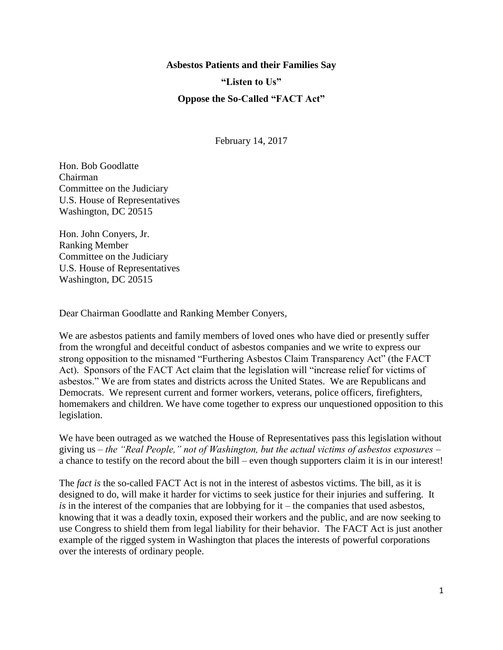**Asbestos Patients and their Families Say "Listen to Us" Oppose the So-Called "FACT Act"**

February 14, 2017

Hon. Bob Goodlatte Chairman Committee on the Judiciary U.S. House of Representatives Washington, DC 20515

Hon. John Conyers, Jr. Ranking Member Committee on the Judiciary U.S. House of Representatives Washington, DC 20515

Dear Chairman Goodlatte and Ranking Member Conyers,

We are asbestos patients and family members of loved ones who have died or presently suffer from the wrongful and deceitful conduct of asbestos companies and we write to express our strong opposition to the misnamed "Furthering Asbestos Claim Transparency Act" (the FACT Act). Sponsors of the FACT Act claim that the legislation will "increase relief for victims of asbestos." We are from states and districts across the United States. We are Republicans and Democrats. We represent current and former workers, veterans, police officers, firefighters, homemakers and children. We have come together to express our unquestioned opposition to this legislation.

We have been outraged as we watched the House of Representatives pass this legislation without giving us – *the "Real People," not of Washington, but the actual victims of asbestos exposures* – a chance to testify on the record about the bill – even though supporters claim it is in our interest!

The *fact is* the so-called FACT Act is not in the interest of asbestos victims. The bill, as it is designed to do, will make it harder for victims to seek justice for their injuries and suffering. It *is* in the interest of the companies that are lobbying for it – the companies that used asbestos, knowing that it was a deadly toxin, exposed their workers and the public, and are now seeking to use Congress to shield them from legal liability for their behavior. The FACT Act is just another example of the rigged system in Washington that places the interests of powerful corporations over the interests of ordinary people.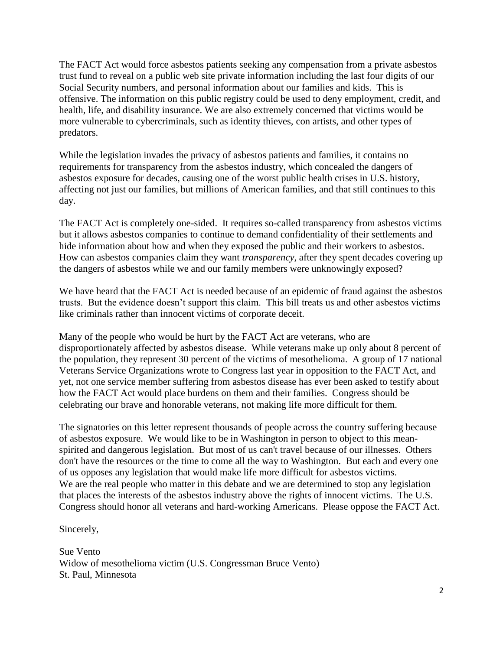The FACT Act would force asbestos patients seeking any compensation from a private asbestos trust fund to reveal on a public web site private information including the last four digits of our Social Security numbers, and personal information about our families and kids. This is offensive. The information on this public registry could be used to deny employment, credit, and health, life, and disability insurance. We are also extremely concerned that victims would be more vulnerable to cybercriminals, such as identity thieves, con artists, and other types of predators.

While the legislation invades the privacy of asbestos patients and families, it contains no requirements for transparency from the asbestos industry, which concealed the dangers of asbestos exposure for decades, causing one of the worst public health crises in U.S. history, affecting not just our families, but millions of American families, and that still continues to this day.

The FACT Act is completely one-sided. It requires so-called transparency from asbestos victims but it allows asbestos companies to continue to demand confidentiality of their settlements and hide information about how and when they exposed the public and their workers to asbestos. How can asbestos companies claim they want *transparency*, after they spent decades covering up the dangers of asbestos while we and our family members were unknowingly exposed?

We have heard that the FACT Act is needed because of an epidemic of fraud against the asbestos trusts. But the evidence doesn't support this claim. This bill treats us and other asbestos victims like criminals rather than innocent victims of corporate deceit.

Many of the people who would be hurt by the FACT Act are veterans, who are disproportionately affected by asbestos disease. While veterans make up only about 8 percent of the population, they represent 30 percent of the victims of mesothelioma. A group of 17 national Veterans Service Organizations wrote to Congress last year in opposition to the FACT Act, and yet, not one service member suffering from asbestos disease has ever been asked to testify about how the FACT Act would place burdens on them and their families. Congress should be celebrating our brave and honorable veterans, not making life more difficult for them.

The signatories on this letter represent thousands of people across the country suffering because of asbestos exposure. We would like to be in Washington in person to object to this meanspirited and dangerous legislation. But most of us can't travel because of our illnesses. Others don't have the resources or the time to come all the way to Washington. But each and every one of us opposes any legislation that would make life more difficult for asbestos victims. We are the real people who matter in this debate and we are determined to stop any legislation that places the interests of the asbestos industry above the rights of innocent victims. The U.S. Congress should honor all veterans and hard-working Americans. Please oppose the FACT Act.

Sincerely,

Sue Vento Widow of mesothelioma victim (U.S. Congressman Bruce Vento) St. Paul, Minnesota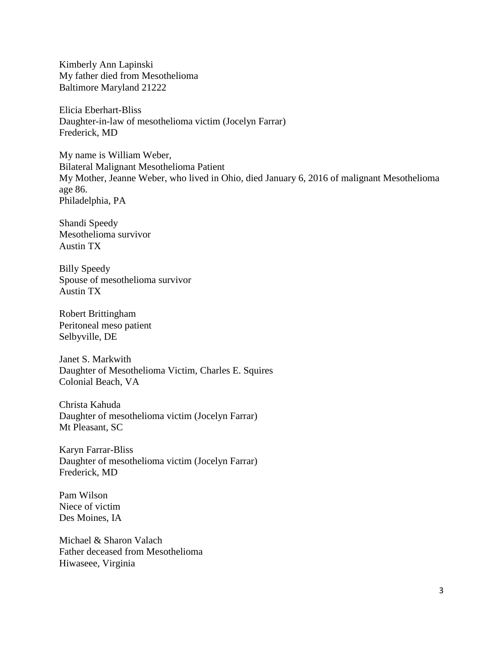Kimberly Ann Lapinski My father died from Mesothelioma Baltimore Maryland 21222

Elicia Eberhart-Bliss Daughter-in-law of mesothelioma victim (Jocelyn Farrar) Frederick, MD

My name is William Weber, Bilateral Malignant Mesothelioma Patient My Mother, Jeanne Weber, who lived in Ohio, died January 6, 2016 of malignant Mesothelioma age 86. Philadelphia, PA

Shandi Speedy Mesothelioma survivor Austin TX

Billy Speedy Spouse of mesothelioma survivor Austin TX

Robert Brittingham Peritoneal meso patient Selbyville, DE

Janet S. Markwith Daughter of Mesothelioma Victim, Charles E. Squires Colonial Beach, VA

Christa Kahuda Daughter of mesothelioma victim (Jocelyn Farrar) Mt Pleasant, SC

Karyn Farrar-Bliss Daughter of mesothelioma victim (Jocelyn Farrar) Frederick, MD

Pam Wilson Niece of victim Des Moines, IA

Michael & Sharon Valach Father deceased from Mesothelioma Hiwaseee, Virginia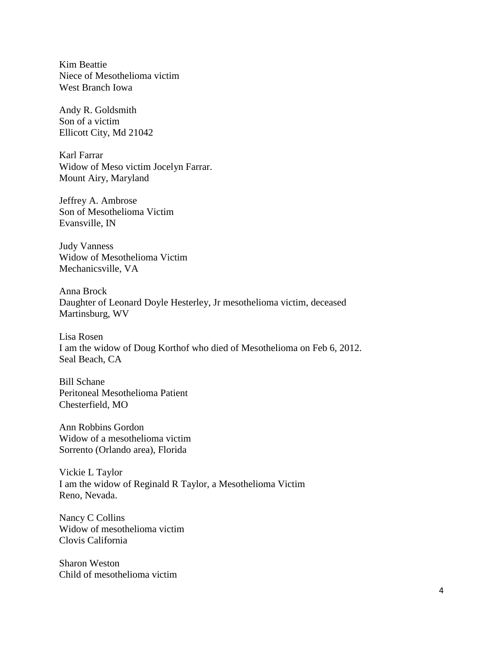Kim Beattie Niece of Mesothelioma victim West Branch Iowa

Andy R. Goldsmith Son of a victim Ellicott City, Md 21042

Karl Farrar Widow of Meso victim Jocelyn Farrar. Mount Airy, Maryland

Jeffrey A. Ambrose Son of Mesothelioma Victim Evansville, IN

Judy Vanness Widow of Mesothelioma Victim Mechanicsville, VA

Anna Brock Daughter of Leonard Doyle Hesterley, Jr mesothelioma victim, deceased Martinsburg, WV

Lisa Rosen I am the widow of Doug Korthof who died of Mesothelioma on Feb 6, 2012. Seal Beach, CA

Bill Schane Peritoneal Mesothelioma Patient Chesterfield, MO

Ann Robbins Gordon Widow of a mesothelioma victim Sorrento (Orlando area), Florida

Vickie L Taylor I am the widow of Reginald R Taylor, a Mesothelioma Victim Reno, Nevada.

Nancy C Collins Widow of mesothelioma victim Clovis California

Sharon Weston Child of mesothelioma victim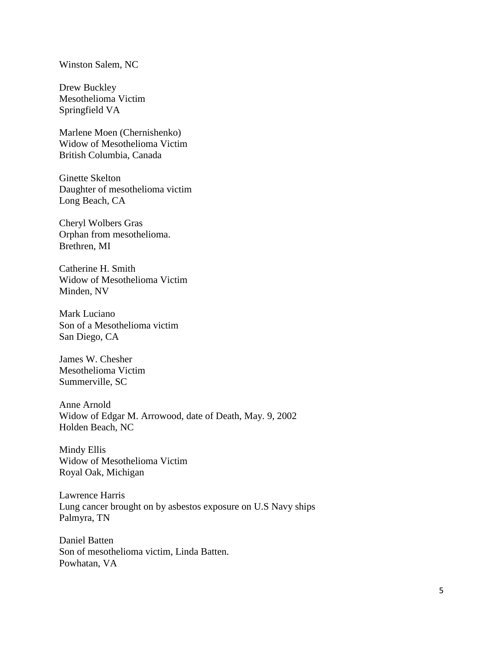## Winston Salem, NC

Drew Buckley Mesothelioma Victim Springfield VA

Marlene Moen (Chernishenko) Widow of Mesothelioma Victim British Columbia, Canada

Ginette Skelton Daughter of mesothelioma victim Long Beach, CA

Cheryl Wolbers Gras Orphan from mesothelioma. Brethren, MI

Catherine H. Smith Widow of Mesothelioma Victim Minden, NV

Mark Luciano Son of a Mesothelioma victim San Diego, CA

James W. Chesher Mesothelioma Victim Summerville, SC

Anne Arnold Widow of Edgar M. Arrowood, date of Death, May. 9, 2002 Holden Beach, NC

Mindy Ellis Widow of Mesothelioma Victim Royal Oak, Michigan

Lawrence Harris Lung cancer brought on by asbestos exposure on U.S Navy ships Palmyra, TN

Daniel Batten Son of mesothelioma victim, Linda Batten. Powhatan, VA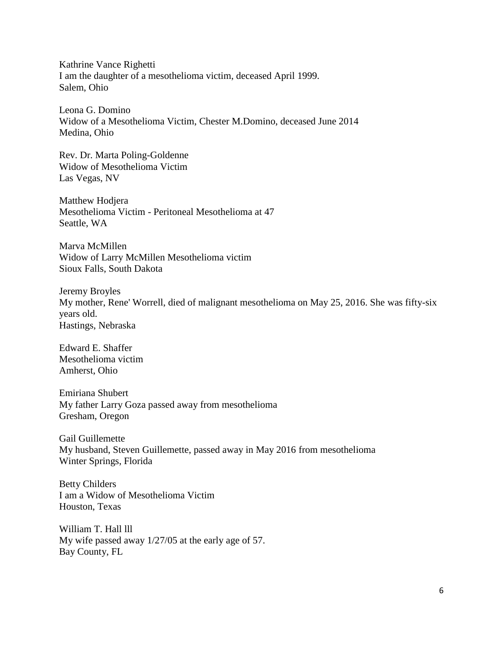Kathrine Vance Righetti I am the daughter of a mesothelioma victim, deceased April 1999. Salem, Ohio

Leona G. Domino Widow of a Mesothelioma Victim, Chester M.Domino, deceased June 2014 Medina, Ohio

Rev. Dr. Marta Poling-Goldenne Widow of Mesothelioma Victim Las Vegas, NV

Matthew Hodjera Mesothelioma Victim - Peritoneal Mesothelioma at 47 Seattle, WA

Marva McMillen Widow of Larry McMillen Mesothelioma victim Sioux Falls, South Dakota

Jeremy Broyles My mother, Rene' Worrell, died of malignant mesothelioma on May 25, 2016. She was fifty-six years old. Hastings, Nebraska

Edward E. Shaffer Mesothelioma victim Amherst, Ohio

Emiriana Shubert My father Larry Goza passed away from mesothelioma Gresham, Oregon

Gail Guillemette My husband, Steven Guillemette, passed away in May 2016 from mesothelioma Winter Springs, Florida

Betty Childers I am a Widow of Mesothelioma Victim Houston, Texas

William T. Hall lll My wife passed away 1/27/05 at the early age of 57. Bay County, FL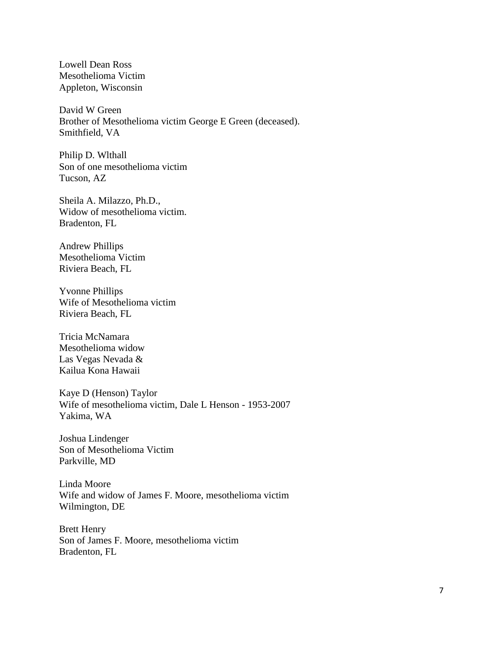Lowell Dean Ross Mesothelioma Victim Appleton, Wisconsin

David W Green Brother of Mesothelioma victim George E Green (deceased). Smithfield, VA

Philip D. Wlthall Son of one mesothelioma victim Tucson, AZ

Sheila A. Milazzo, Ph.D., Widow of mesothelioma victim. Bradenton, FL

Andrew Phillips Mesothelioma Victim Riviera Beach, FL

Yvonne Phillips Wife of Mesothelioma victim Riviera Beach, FL

Tricia McNamara Mesothelioma widow Las Vegas Nevada & Kailua Kona Hawaii

Kaye D (Henson) Taylor Wife of mesothelioma victim, Dale L Henson - 1953-2007 Yakima, WA

Joshua Lindenger Son of Mesothelioma Victim Parkville, MD

Linda Moore Wife and widow of James F. Moore, mesothelioma victim Wilmington, DE

Brett Henry Son of James F. Moore, mesothelioma victim Bradenton, FL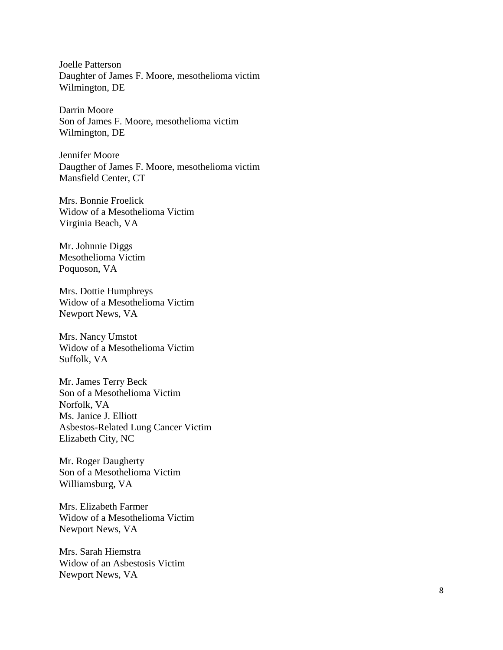Joelle Patterson Daughter of James F. Moore, mesothelioma victim Wilmington, DE

Darrin Moore Son of James F. Moore, mesothelioma victim Wilmington, DE

Jennifer Moore Daugther of James F. Moore, mesothelioma victim Mansfield Center, CT

Mrs. Bonnie Froelick Widow of a Mesothelioma Victim Virginia Beach, VA

Mr. Johnnie Diggs Mesothelioma Victim Poquoson, VA

Mrs. Dottie Humphreys Widow of a Mesothelioma Victim Newport News, VA

Mrs. Nancy Umstot Widow of a Mesothelioma Victim Suffolk, VA

Mr. James Terry Beck Son of a Mesothelioma Victim Norfolk, VA Ms. Janice J. Elliott Asbestos -Related Lung Cancer Victim Elizabeth City, NC

Mr. Roger Daugherty Son of a Mesothelioma Victim Williamsburg, VA

Mrs. Elizabeth Farmer Widow of a Mesothelioma Victim Newport News, VA

Mrs. Sarah Hiemstra Widow of an Asbestosis Victim Newport News, VA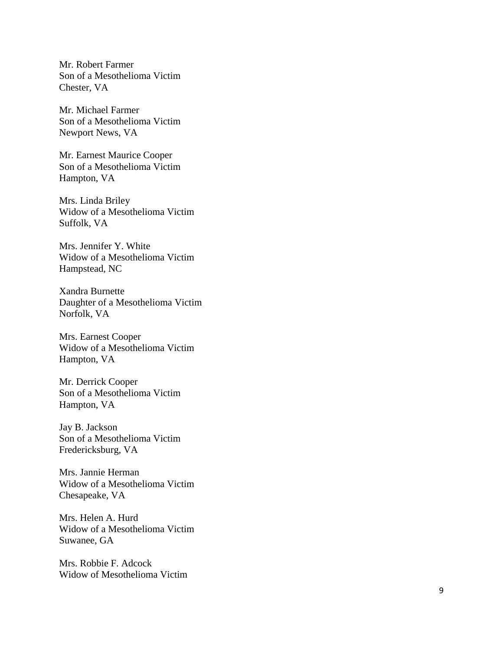Mr. Robert Farmer Son of a Mesothelioma Victim Chester, VA

Mr. Michael Farmer Son of a Mesothelioma Victim Newport News, VA

Mr. Earnest Maurice Cooper Son of a Mesothelioma Victim Hampton, VA

Mrs. Linda Briley Widow of a Mesothelioma Victim Suffolk, VA

Mrs. Jennifer Y. White Widow of a Mesothelioma Victim Hampstead, NC

Xandra Burnette Daughter of a Mesothelioma Victim Norfolk, VA

Mrs. Earnest Cooper Widow of a Mesothelioma Victim Hampton, VA

Mr. Derrick Cooper Son of a Mesothelioma Victim Hampton, VA

Jay B. Jackson Son of a Mesothelioma Victim Fredericksburg, VA

Mrs. Jannie Herman Widow of a Mesothelioma Victim Chesapeake, VA

Mrs. Helen A. Hurd Widow of a Mesothelioma Victim Suwanee, GA

Mrs. Robbie F. Adcock Widow of Mesothelioma Victim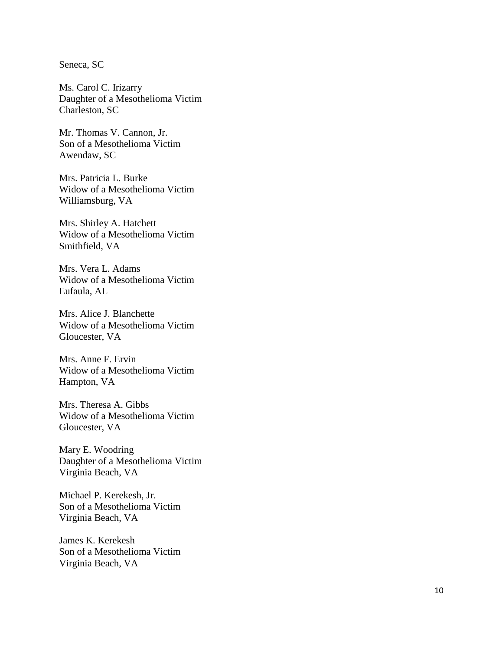Seneca, SC

Ms. Carol C. Irizarry Daughter of a Mesothelioma Victim Charleston, SC

Mr. Thomas V. Cannon, Jr. Son of a Mesothelioma Victim Awendaw, SC

Mrs. Patricia L. Burke Widow of a Mesothelioma Victim Williamsburg, VA

Mrs. Shirley A. Hatchett Widow of a Mesothelioma Victim Smithfield, VA

Mrs. Vera L. Adams Widow of a Mesothelioma Victim Eufaula, AL

Mrs. Alice J. Blanchette Widow of a Mesothelioma Victim Gloucester, VA

Mrs. Anne F. Ervin Widow of a Mesothelioma Victim Hampton, VA

Mrs. Theresa A. Gibbs Widow of a Mesothelioma Victim Gloucester, VA

Mary E. Woodring Daughter of a Mesothelioma Victim Virginia Beach, VA

Michael P. Kerekesh, Jr. Son of a Mesothelioma Victim Virginia Beach, VA

James K. Kerekesh Son of a Mesothelioma Victim Virginia Beach, VA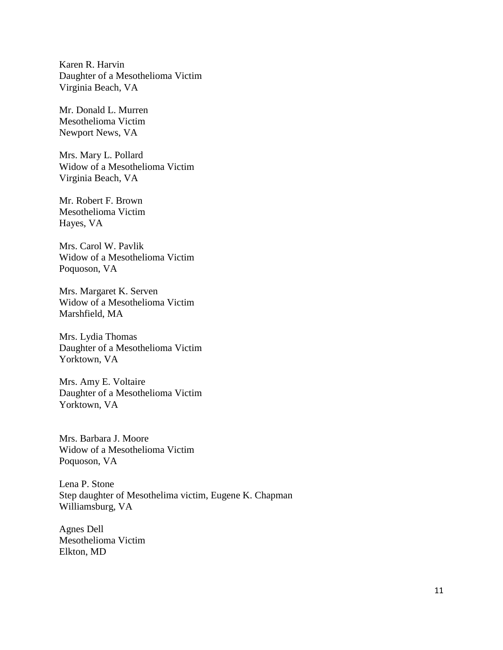Karen R. Harvin Daughter of a Mesothelioma Victim Virginia Beach, VA

Mr. Donald L. Murren Mesothelioma Victim Newport News, VA

Mrs. Mary L. Pollard Widow of a Mesothelioma Victim Virginia Beach, VA

Mr. Robert F. Brown Mesothelioma Victim Hayes, VA

Mrs. Carol W. Pavlik Widow of a Mesothelioma Victim Poquoson, VA

Mrs. Margaret K. Serven Widow of a Mesothelioma Victim Marshfield, MA

Mrs. Lydia Thomas Daughter of a Mesothelioma Victim Yorktown, VA

Mrs. Amy E. Voltaire Daughter of a Mesothelioma Victim Yorktown, VA

Mrs. Barbara J. Moore Widow of a Mesothelioma Victim Poquoson, VA

Lena P. Stone Step daughter of Mesothelima victim, Eugene K. Chapman Williamsburg, VA

Agnes Dell Mesothelioma Victim Elkton, MD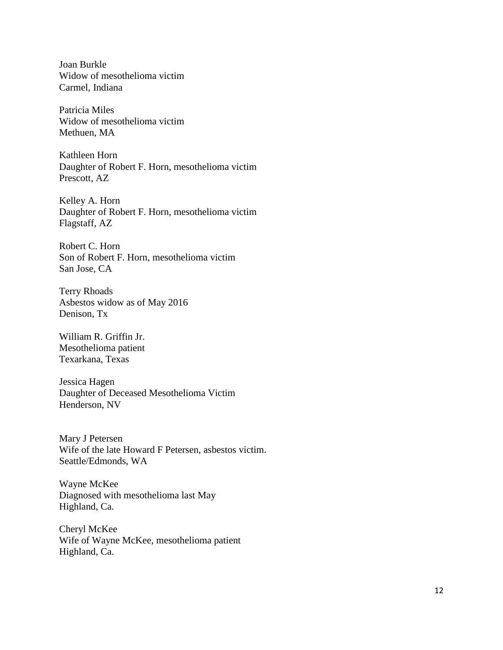Joan Burkle Widow of mesothelioma victim Carmel, Indiana

Patricia Miles Widow of mesothelioma victim Methuen, MA

Kathleen Horn Daughter of Robert F. Horn, mesothelioma victim Prescott, AZ

Kelley A. Horn Daughter of Robert F. Horn, mesothelioma victim Flagstaff, AZ

Robert C. Horn Son of Robert F. Horn, mesothelioma victim San Jose, CA

Terry Rhoads Asbestos widow as of May 2016 Denison, Tx

William R. Griffin Jr. Mesothelioma patient Texarkana, Texas

Jessica Hagen Daughter of Deceased Mesothelioma Victim Henderson, NV

Mary J Petersen Wife of the late Howard F Petersen, asbestos victim. Seattle/Edmonds, WA

Wayne McKee Diagnosed with mesothelioma last May Highland, Ca.

Cheryl McKee Wife of Wayne McKee, mesothelioma patient Highland, Ca.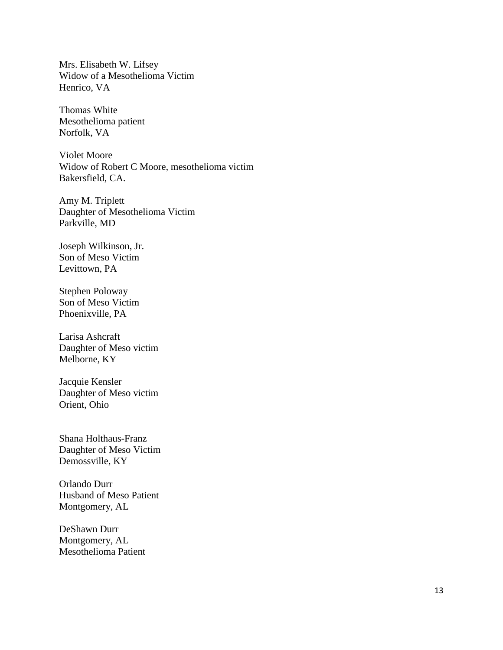Mrs. Elisabeth W. Lifsey Widow of a Mesothelioma Victim Henrico, VA

Thomas White Mesothelioma patient Norfolk, VA

Violet Moore Widow of Robert C Moore, mesothelioma victim Bakersfield, CA.

Amy M. Triplett Daughter of Mesothelioma Victim Parkville, MD

Joseph Wilkinson, Jr. Son of Meso Victim Levittown, PA

Stephen Poloway Son of Meso Victim Phoenixville, PA

Larisa Ashcraft Daughter of Meso victim Melborne, KY

Jacquie Kensler Daughter of Meso victim Orient, Ohio

Shana Holthaus-Franz Daughter of Meso Victim Demossville, KY

Orlando Durr Husband of Meso Patient Montgomery, AL

DeShawn Durr Montgomery, AL Mesothelioma Patient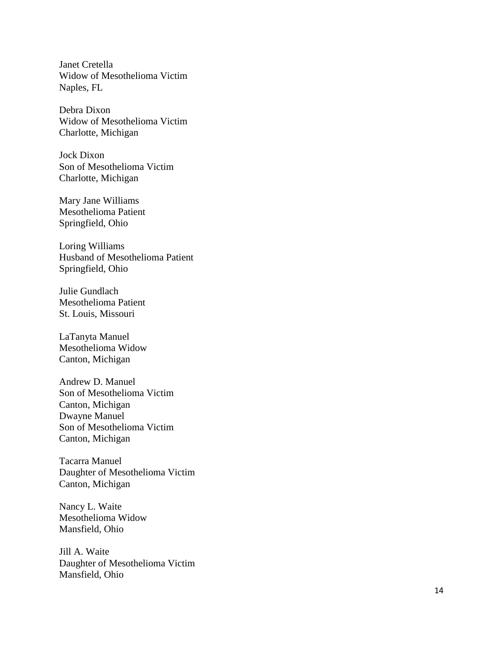Janet Cretella Widow of Mesothelioma Victim Naples, FL

Debra Dixon Widow of Mesothelioma Victim Charlotte, Michigan

Jock Dixon Son of Mesothelioma Victim Charlotte, Michigan

Mary Jane Williams Mesothelioma Patient Springfield, Ohio

Loring Williams Husband of Mesothelioma Patient Springfield, Ohio

Julie Gundlach Mesothelioma Patient St. Louis, Missouri

LaTanyta Manuel Mesothelioma Widow Canton, Michigan

Andrew D. Manuel Son of Mesothelioma Victim Canton, Michigan Dwayne Manuel Son of Mesothelioma Victim Canton, Michigan

Tacarra Manuel Daughter of Mesothelioma Victim Canton, Michigan

Nancy L. Waite Mesothelioma Widow Mansfield, Ohio

Jill A. Waite Daughter of Mesothelioma Victim Mansfield, Ohio